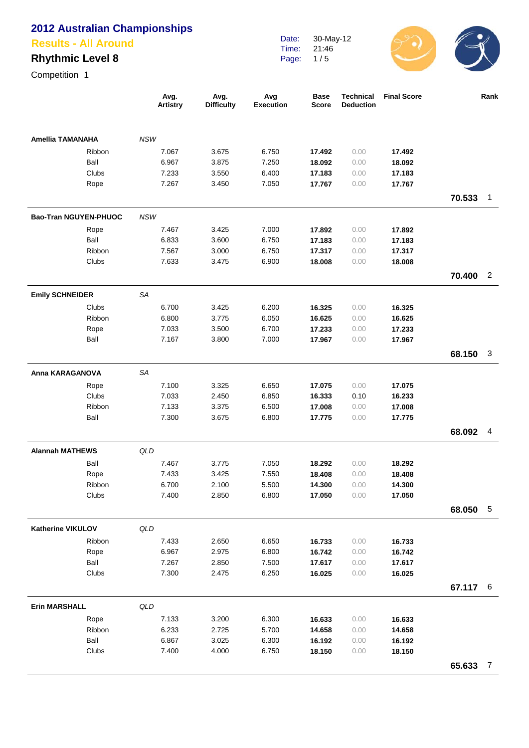#### **Results - All Around**

## **Rhythmic Level 8**

Competition 1

|                          |        | Avg.<br><b>Artistry</b> | Avg.<br><b>Difficulty</b> | Avg<br><b>Execution</b> | <b>Base</b><br><b>Score</b> | <b>Technical</b><br><b>Deduction</b> | <b>Final Score</b> |        | Rank           |
|--------------------------|--------|-------------------------|---------------------------|-------------------------|-----------------------------|--------------------------------------|--------------------|--------|----------------|
| <b>Amellia TAMANAHA</b>  |        | <b>NSW</b>              |                           |                         |                             |                                      |                    |        |                |
|                          | Ribbon | 7.067                   | 3.675                     | 6.750                   | 17.492                      | 0.00                                 | 17.492             |        |                |
|                          | Ball   | 6.967                   | 3.875                     | 7.250                   | 18.092                      | 0.00                                 | 18.092             |        |                |
|                          | Clubs  | 7.233                   | 3.550                     | 6.400                   | 17.183                      | 0.00                                 | 17.183             |        |                |
|                          | Rope   | 7.267                   | 3.450                     | 7.050                   | 17.767                      | 0.00                                 | 17.767             |        |                |
|                          |        |                         |                           |                         |                             |                                      |                    | 70.533 | $\overline{1}$ |
| Bao-Tran NGUYEN-PHUOC    |        | <b>NSW</b>              |                           |                         |                             |                                      |                    |        |                |
|                          | Rope   | 7.467                   | 3.425                     | 7.000                   | 17.892                      | 0.00                                 | 17.892             |        |                |
|                          | Ball   | 6.833                   | 3.600                     | 6.750                   | 17.183                      | 0.00                                 | 17.183             |        |                |
|                          | Ribbon | 7.567                   | 3.000                     | 6.750                   | 17.317                      | 0.00                                 | 17.317             |        |                |
|                          | Clubs  | 7.633                   | 3.475                     | 6.900                   | 18.008                      | 0.00                                 | 18.008             |        |                |
|                          |        |                         |                           |                         |                             |                                      |                    | 70.400 | $\overline{2}$ |
| <b>Emily SCHNEIDER</b>   |        | <b>SA</b>               |                           |                         |                             |                                      |                    |        |                |
|                          | Clubs  | 6.700                   | 3.425                     | 6.200                   | 16.325                      | 0.00                                 | 16.325             |        |                |
|                          | Ribbon | 6.800                   | 3.775                     | 6.050                   | 16.625                      | 0.00                                 | 16.625             |        |                |
|                          | Rope   | 7.033                   | 3.500                     | 6.700                   | 17.233                      | 0.00                                 | 17.233             |        |                |
|                          | Ball   | 7.167                   | 3.800                     | 7.000                   | 17.967                      | 0.00                                 | 17.967             |        |                |
|                          |        |                         |                           |                         |                             |                                      |                    | 68.150 | 3              |
| Anna KARAGANOVA          |        | <b>SA</b>               |                           |                         |                             |                                      |                    |        |                |
|                          | Rope   | 7.100                   | 3.325                     | 6.650                   | 17.075                      | 0.00                                 | 17.075             |        |                |
|                          | Clubs  | 7.033                   | 2.450                     | 6.850                   | 16.333                      | 0.10                                 | 16.233             |        |                |
|                          | Ribbon | 7.133                   | 3.375                     | 6.500                   | 17.008                      | 0.00                                 | 17.008             |        |                |
|                          | Ball   | 7.300                   | 3.675                     | 6.800                   | 17.775                      | 0.00                                 | 17.775             |        |                |
|                          |        |                         |                           |                         |                             |                                      |                    | 68.092 | 4              |
| <b>Alannah MATHEWS</b>   |        | QLD                     |                           |                         |                             |                                      |                    |        |                |
|                          | Ball   | 7.467                   | 3.775                     | 7.050                   | 18.292                      | 0.00                                 | 18.292             |        |                |
|                          | Rope   | 7.433                   | 3.425                     | 7.550                   | 18.408                      | 0.00                                 | 18,408             |        |                |
|                          | Ribbon | 6.700                   | 2.100                     | 5.500                   | 14.300                      | 0.00                                 | 14.300             |        |                |
|                          | Clubs  | 7.400                   | 2.850                     | 6.800                   | 17.050                      | 0.00                                 | 17.050             |        |                |
|                          |        |                         |                           |                         |                             |                                      |                    | 68.050 | $\sqrt{5}$     |
| <b>Katherine VIKULOV</b> |        | QLD                     |                           |                         |                             |                                      |                    |        |                |
|                          | Ribbon | 7.433                   | 2.650                     | 6.650                   | 16.733                      | 0.00                                 | 16.733             |        |                |
|                          | Rope   | 6.967                   | 2.975                     | 6.800                   | 16.742                      | 0.00                                 | 16.742             |        |                |
|                          | Ball   | 7.267                   | 2.850                     | 7.500                   | 17.617                      | 0.00                                 | 17.617             |        |                |
|                          | Clubs  | 7.300                   | 2.475                     | 6.250                   | 16.025                      | 0.00                                 | 16.025             |        |                |
|                          |        |                         |                           |                         |                             |                                      |                    | 67.117 | - 6            |
| <b>Erin MARSHALL</b>     |        | QLD                     |                           |                         |                             |                                      |                    |        |                |
|                          | Rope   | 7.133                   | 3.200                     | 6.300                   | 16.633                      | 0.00                                 | 16.633             |        |                |
|                          | Ribbon | 6.233                   | 2.725                     | 5.700                   | 14.658                      | 0.00                                 | 14.658             |        |                |
|                          | Ball   | 6.867                   | 3.025                     | 6.300                   | 16.192                      | 0.00                                 | 16.192             |        |                |
|                          | Clubs  | 7.400                   | 4.000                     | 6.750                   | 18.150                      | 0.00                                 | 18.150             |        |                |
|                          |        |                         |                           |                         |                             |                                      |                    | 65.633 | $\overline{7}$ |

Date: Time: Page: 30-May-12 21:46 1 / 5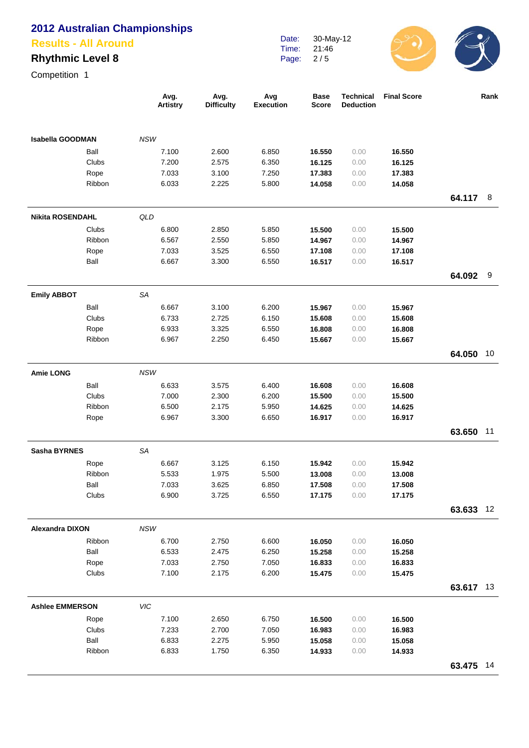#### **Results - All Around**

# **Rhythmic Level 8**

| Date: | 30-May-12 |
|-------|-----------|
| Time: | 21:46     |
| Page: | 2/5       |



|                         |        | Avg.<br><b>Artistry</b> | Avg.<br><b>Difficulty</b> | Avg<br>Execution | <b>Base</b><br><b>Score</b> | <b>Technical</b><br><b>Deduction</b> | <b>Final Score</b> |           | Rank |
|-------------------------|--------|-------------------------|---------------------------|------------------|-----------------------------|--------------------------------------|--------------------|-----------|------|
| <b>Isabella GOODMAN</b> |        | <b>NSW</b>              |                           |                  |                             |                                      |                    |           |      |
|                         | Ball   | 7.100                   | 2.600                     | 6.850            | 16.550                      | 0.00                                 | 16.550             |           |      |
|                         | Clubs  | 7.200                   | 2.575                     | 6.350            | 16.125                      | 0.00                                 | 16.125             |           |      |
|                         | Rope   | 7.033                   | 3.100                     | 7.250            | 17.383                      | 0.00                                 | 17.383             |           |      |
|                         | Ribbon | 6.033                   | 2.225                     | 5.800            | 14.058                      | 0.00                                 | 14.058             |           |      |
|                         |        |                         |                           |                  |                             |                                      |                    | 64.117    | 8    |
| <b>Nikita ROSENDAHL</b> |        | QLD                     |                           |                  |                             |                                      |                    |           |      |
|                         | Clubs  | 6.800                   | 2.850                     | 5.850            | 15.500                      | 0.00                                 | 15.500             |           |      |
|                         | Ribbon | 6.567                   | 2.550                     | 5.850            | 14.967                      | 0.00                                 | 14.967             |           |      |
|                         | Rope   | 7.033                   | 3.525                     | 6.550            | 17.108                      | 0.00                                 | 17.108             |           |      |
|                         | Ball   | 6.667                   | 3.300                     | 6.550            | 16.517                      | 0.00                                 | 16.517             |           |      |
|                         |        |                         |                           |                  |                             |                                      |                    | 64.092    | 9    |
| <b>Emily ABBOT</b>      |        | <b>SA</b>               |                           |                  |                             |                                      |                    |           |      |
|                         | Ball   | 6.667                   | 3.100                     | 6.200            | 15.967                      | 0.00                                 | 15.967             |           |      |
|                         | Clubs  | 6.733                   | 2.725                     | 6.150            | 15.608                      | 0.00                                 | 15.608             |           |      |
|                         | Rope   | 6.933                   | 3.325                     | 6.550            | 16.808                      | 0.00                                 | 16.808             |           |      |
|                         | Ribbon | 6.967                   | 2.250                     | 6.450            | 15.667                      | 0.00                                 | 15.667             |           |      |
|                         |        |                         |                           |                  |                             |                                      |                    | 64.050 10 |      |
| <b>Amie LONG</b>        |        | <b>NSW</b>              |                           |                  |                             |                                      |                    |           |      |
|                         | Ball   | 6.633                   | 3.575                     | 6.400            | 16.608                      | 0.00                                 | 16.608             |           |      |
|                         | Clubs  | 7.000                   | 2.300                     | 6.200            | 15.500                      | 0.00                                 | 15.500             |           |      |
|                         | Ribbon | 6.500                   | 2.175                     | 5.950            | 14.625                      | 0.00                                 | 14.625             |           |      |
|                         | Rope   | 6.967                   | 3.300                     | 6.650            | 16.917                      | 0.00                                 | 16.917             |           |      |
|                         |        |                         |                           |                  |                             |                                      |                    | 63.650 11 |      |
| <b>Sasha BYRNES</b>     |        | SA                      |                           |                  |                             |                                      |                    |           |      |
|                         | Rope   | 6.667                   | 3.125                     | 6.150            | 15.942                      | 0.00                                 | 15.942             |           |      |
|                         | Ribbon | 5.533                   | 1.975                     | 5.500            | 13.008                      | 0.00                                 | 13.008             |           |      |
|                         | Ball   | 7.033                   | 3.625                     | 6.850            | 17.508                      | 0.00                                 | 17.508             |           |      |
|                         | Clubs  | 6.900                   | 3.725                     | 6.550            | 17.175                      | 0.00                                 | 17.175             |           |      |
|                         |        |                         |                           |                  |                             |                                      |                    | 63.633 12 |      |
| <b>Alexandra DIXON</b>  |        | <b>NSW</b>              |                           |                  |                             |                                      |                    |           |      |
|                         | Ribbon | 6.700                   | 2.750                     | 6.600            | 16.050                      | 0.00                                 | 16.050             |           |      |
|                         | Ball   | 6.533                   | 2.475                     | 6.250            | 15.258                      | 0.00                                 | 15.258             |           |      |
|                         | Rope   | 7.033                   | 2.750                     | 7.050            | 16.833                      | 0.00                                 | 16.833             |           |      |
|                         | Clubs  | 7.100                   | 2.175                     | 6.200            | 15.475                      | 0.00                                 | 15.475             |           |      |
|                         |        |                         |                           |                  |                             |                                      |                    | 63.617 13 |      |
| <b>Ashlee EMMERSON</b>  |        | VIC                     |                           |                  |                             |                                      |                    |           |      |
|                         | Rope   | 7.100                   | 2.650                     | 6.750            | 16.500                      | 0.00                                 | 16.500             |           |      |
|                         | Clubs  | 7.233                   | 2.700                     | 7.050            | 16.983                      | 0.00                                 | 16.983             |           |      |
|                         | Ball   | 6.833                   | 2.275                     | 5.950            | 15.058                      | 0.00                                 | 15.058             |           |      |
|                         | Ribbon | 6.833                   | 1.750                     | 6.350            | 14.933                      | 0.00                                 | 14.933             |           |      |
|                         |        |                         |                           |                  |                             |                                      |                    | 63.475 14 |      |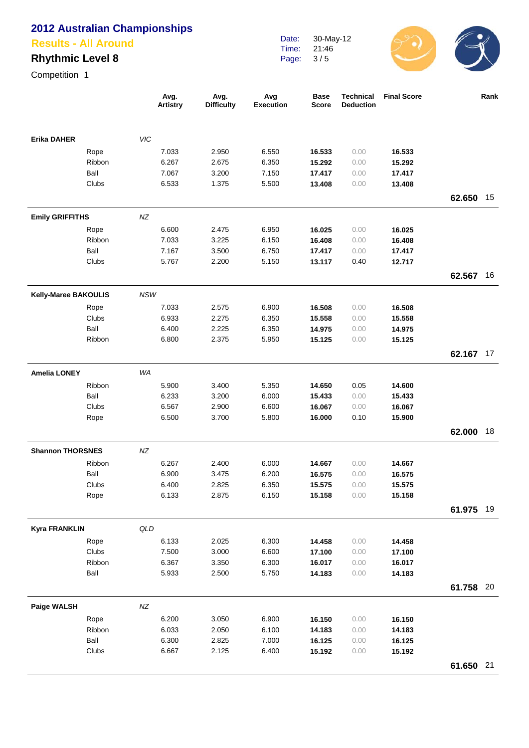#### **Results - All Around**

## **Rhythmic Level 8**

Date: Time: Page: 30-May-12 21:46 3 / 5



|                         |                      |            | Avg.<br><b>Artistry</b> | Avg.<br><b>Difficulty</b> | Avg<br><b>Execution</b> | <b>Base</b><br><b>Score</b> | <b>Technical</b><br><b>Deduction</b> | <b>Final Score</b> |           | Rank |
|-------------------------|----------------------|------------|-------------------------|---------------------------|-------------------------|-----------------------------|--------------------------------------|--------------------|-----------|------|
| <b>Erika DAHER</b>      |                      | VIC        |                         |                           |                         |                             |                                      |                    |           |      |
|                         | Rope                 |            | 7.033                   | 2.950                     | 6.550                   | 16.533                      | 0.00                                 | 16.533             |           |      |
|                         | Ribbon               |            | 6.267                   | 2.675                     | 6.350                   | 15.292                      | 0.00                                 | 15.292             |           |      |
|                         | Ball                 |            | 7.067                   | 3.200                     | 7.150                   | 17.417                      | 0.00                                 | 17.417             |           |      |
|                         | Clubs                |            | 6.533                   | 1.375                     | 5.500                   | 13.408                      | 0.00                                 | 13.408             |           |      |
|                         |                      |            |                         |                           |                         |                             |                                      |                    | 62.650    | 15   |
| <b>Emily GRIFFITHS</b>  |                      | NZ         |                         |                           |                         |                             |                                      |                    |           |      |
|                         | Rope                 |            | 6.600                   | 2.475                     | 6.950                   | 16.025                      | 0.00                                 | 16.025             |           |      |
|                         | Ribbon               |            | 7.033                   | 3.225                     | 6.150                   | 16.408                      | 0.00                                 | 16.408             |           |      |
|                         | Ball                 |            | 7.167                   | 3.500                     | 6.750                   | 17.417                      | 0.00                                 | 17.417             |           |      |
|                         | Clubs                |            | 5.767                   | 2.200                     | 5.150                   | 13.117                      | 0.40                                 | 12.717             |           |      |
|                         |                      |            |                         |                           |                         |                             |                                      |                    | 62.567    | 16   |
| Kelly-Maree BAKOULIS    |                      | <b>NSW</b> |                         |                           |                         |                             |                                      |                    |           |      |
|                         | Rope                 |            | 7.033                   | 2.575                     | 6.900                   | 16.508                      | 0.00                                 | 16.508             |           |      |
|                         | Clubs                |            | 6.933                   | 2.275                     | 6.350                   | 15.558                      | 0.00                                 | 15.558             |           |      |
|                         | Ball                 |            | 6.400                   | 2.225                     | 6.350                   | 14.975                      | 0.00                                 | 14.975             |           |      |
|                         | Ribbon               |            | 6.800                   | 2.375                     | 5.950                   | 15.125                      | 0.00                                 | 15.125             |           | 17   |
|                         |                      |            |                         |                           |                         |                             |                                      |                    | 62.167    |      |
| <b>Amelia LONEY</b>     |                      | WA         |                         |                           |                         |                             |                                      |                    |           |      |
|                         | Ribbon               |            | 5.900                   | 3.400                     | 5.350                   | 14.650                      | 0.05                                 | 14.600             |           |      |
|                         | Ball                 |            | 6.233                   | 3.200                     | 6.000                   | 15.433                      | 0.00                                 | 15.433             |           |      |
|                         | Clubs                |            | 6.567                   | 2.900                     | 6.600                   | 16.067                      | 0.00                                 | 16.067             |           |      |
|                         | Rope                 |            | 6.500                   | 3.700                     | 5.800                   | 16.000                      | 0.10                                 | 15.900             | 62.000    | 18   |
|                         |                      |            |                         |                           |                         |                             |                                      |                    |           |      |
| <b>Shannon THORSNES</b> |                      | NZ         |                         |                           |                         |                             |                                      |                    |           |      |
|                         | Ribbon               |            | 6.267                   | 2.400                     | 6.000                   | 14.667                      | 0.00                                 | 14.667             |           |      |
|                         | Ball                 |            | 6.900                   | 3.475                     | 6.200                   | 16.575                      | 0.00                                 | 16.575             |           |      |
|                         | Clubs<br>Rope        |            | 6.400<br>6.133          | 2.825<br>2.875            | 6.350<br>6.150          | 15.575<br>15.158            | 0.00<br>0.00                         | 15.575<br>15.158   |           |      |
|                         |                      |            |                         |                           |                         |                             |                                      |                    | 61.975    | 19   |
|                         |                      |            |                         |                           |                         |                             |                                      |                    |           |      |
| <b>Kyra FRANKLIN</b>    |                      | QLD        |                         |                           |                         |                             |                                      |                    |           |      |
|                         | Rope<br><b>Clubs</b> |            | 6.133<br>7.500          | 2.025<br>3.000            | 6.300<br>6.600          | 14.458                      | 0.00<br>0.00                         | 14.458             |           |      |
|                         | Ribbon               |            | 6.367                   | 3.350                     | 6.300                   | 17.100<br>16.017            | 0.00                                 | 17.100<br>16.017   |           |      |
|                         | Ball                 |            | 5.933                   | 2.500                     | 5.750                   | 14.183                      | 0.00                                 | 14.183             |           |      |
|                         |                      |            |                         |                           |                         |                             |                                      |                    | 61.758 20 |      |
| Paige WALSH             |                      | NZ         |                         |                           |                         |                             |                                      |                    |           |      |
|                         | Rope                 |            | 6.200                   | 3.050                     | 6.900                   | 16.150                      | 0.00                                 | 16.150             |           |      |
|                         | Ribbon               |            | 6.033                   | 2.050                     | 6.100                   | 14.183                      | 0.00                                 | 14.183             |           |      |
|                         | Ball                 |            | 6.300                   | 2.825                     | 7.000                   | 16.125                      | 0.00                                 | 16.125             |           |      |
|                         | Clubs                |            | 6.667                   | 2.125                     | 6.400                   | 15.192                      | 0.00                                 | 15.192             |           |      |
|                         |                      |            |                         |                           |                         |                             |                                      |                    | 61.650 21 |      |
|                         |                      |            |                         |                           |                         |                             |                                      |                    |           |      |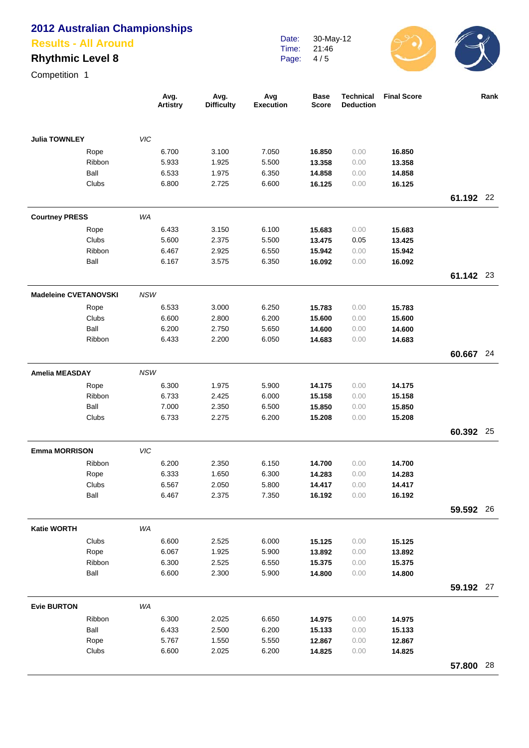#### **Results - All Around**

## **Rhythmic Level 8**

Date: Time: Page: 30-May-12 21:46 4 / 5



|                              |               | Avg.<br><b>Artistry</b> | Avg.<br><b>Difficulty</b> | Avg<br><b>Execution</b> | <b>Base</b><br><b>Score</b> | <b>Technical</b><br><b>Deduction</b> | <b>Final Score</b> |           | Rank |
|------------------------------|---------------|-------------------------|---------------------------|-------------------------|-----------------------------|--------------------------------------|--------------------|-----------|------|
| <b>Julia TOWNLEY</b>         |               | VIC                     |                           |                         |                             |                                      |                    |           |      |
|                              | Rope          | 6.700                   | 3.100                     | 7.050                   | 16.850                      | 0.00                                 | 16.850             |           |      |
|                              | Ribbon        | 5.933                   | 1.925                     | 5.500                   | 13.358                      | 0.00                                 | 13.358             |           |      |
|                              | Ball          | 6.533                   | 1.975                     | 6.350                   | 14.858                      | 0.00                                 | 14.858             |           |      |
|                              | Clubs         | 6.800                   | 2.725                     | 6.600                   | 16.125                      | 0.00                                 | 16.125             |           |      |
|                              |               |                         |                           |                         |                             |                                      |                    | 61.192 22 |      |
| <b>Courtney PRESS</b>        |               | WA                      |                           |                         |                             |                                      |                    |           |      |
|                              | Rope          | 6.433                   | 3.150                     | 6.100                   | 15.683                      | 0.00                                 | 15.683             |           |      |
|                              | Clubs         | 5.600                   | 2.375                     | 5.500                   | 13.475                      | 0.05                                 | 13.425             |           |      |
|                              | Ribbon        | 6.467                   | 2.925                     | 6.550                   | 15.942                      | 0.00                                 | 15.942             |           |      |
|                              | Ball          | 6.167                   | 3.575                     | 6.350                   | 16.092                      | 0.00                                 | 16.092             |           |      |
|                              |               |                         |                           |                         |                             |                                      |                    | 61.142 23 |      |
| <b>Madeleine CVETANOVSKI</b> |               | <b>NSW</b>              |                           |                         |                             |                                      |                    |           |      |
|                              | Rope          | 6.533                   | 3.000                     | 6.250                   | 15.783                      | 0.00                                 | 15.783             |           |      |
|                              | Clubs         | 6.600                   | 2.800                     | 6.200                   | 15.600                      | 0.00                                 | 15.600             |           |      |
|                              | Ball          | 6.200                   | 2.750                     | 5.650                   | 14.600                      | 0.00                                 | 14.600             |           |      |
|                              | Ribbon        | 6.433                   | 2.200                     | 6.050                   | 14.683                      | 0.00                                 | 14.683             |           |      |
|                              |               |                         |                           |                         |                             |                                      |                    | 60.667    | 24   |
| <b>Amelia MEASDAY</b>        |               | <b>NSW</b>              |                           |                         |                             |                                      |                    |           |      |
|                              | Rope          | 6.300                   | 1.975                     | 5.900                   | 14.175                      | 0.00                                 | 14.175             |           |      |
|                              | Ribbon        | 6.733                   | 2.425                     | 6.000                   | 15.158                      | 0.00                                 | 15.158             |           |      |
|                              | Ball          | 7.000                   | 2.350                     | 6.500                   | 15.850                      | 0.00                                 | 15.850             |           |      |
|                              | Clubs         | 6.733                   | 2.275                     | 6.200                   | 15.208                      | 0.00                                 | 15.208             |           |      |
|                              |               |                         |                           |                         |                             |                                      |                    | 60.392    | 25   |
| <b>Emma MORRISON</b>         |               | <b>VIC</b>              |                           |                         |                             |                                      |                    |           |      |
|                              | Ribbon        | 6.200                   | 2.350                     | 6.150                   | 14.700                      | 0.00                                 | 14.700             |           |      |
|                              | Rope          | 6.333                   | 1.650                     | 6.300                   | 14.283                      | 0.00                                 | 14.283             |           |      |
|                              | Clubs         | 6.567                   | 2.050                     | 5.800                   | 14.417                      | 0.00                                 | 14.417             |           |      |
|                              | Ball          | 6.467                   | 2.375                     | 7.350                   | 16.192                      | 0.00                                 | 16.192             |           |      |
|                              |               |                         |                           |                         |                             |                                      |                    | 59.592 26 |      |
| <b>Katie WORTH</b>           |               | WA                      |                           |                         |                             |                                      |                    |           |      |
|                              | Clubs         | 6.600                   | 2.525                     | 6.000                   | 15.125                      | 0.00                                 | 15.125             |           |      |
|                              | Rope          | 6.067                   | 1.925                     | 5.900                   | 13.892                      | 0.00                                 | 13.892             |           |      |
|                              | Ribbon        | 6.300                   | 2.525                     | 6.550                   | 15.375                      | 0.00                                 | 15.375             |           |      |
|                              | Ball          | 6.600                   | 2.300                     | 5.900                   | 14.800                      | 0.00                                 | 14.800             |           |      |
|                              |               |                         |                           |                         |                             |                                      |                    | 59.192 27 |      |
| <b>Evie BURTON</b>           |               | WA                      |                           |                         |                             |                                      |                    |           |      |
|                              | Ribbon        | 6.300                   | 2.025                     | 6.650                   | 14.975                      | 0.00                                 | 14.975             |           |      |
|                              | Ball          | 6.433<br>5.767          | 2.500<br>1.550            | 6.200<br>5.550          | 15.133<br>12.867            | 0.00<br>0.00                         | 15.133             |           |      |
|                              | Rope<br>Clubs | 6.600                   | 2.025                     | 6.200                   | 14.825                      | 0.00                                 | 12.867<br>14.825   |           |      |
|                              |               |                         |                           |                         |                             |                                      |                    |           |      |
|                              |               |                         |                           |                         |                             |                                      |                    | 57.800 28 |      |